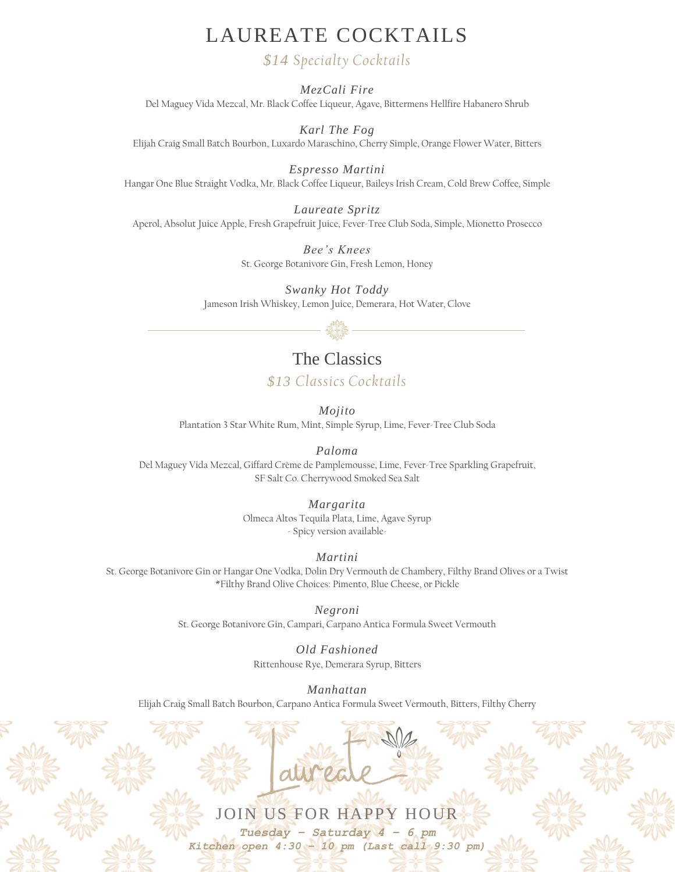#### LAUREATE COCKTAILS

#### *\$14 Specialty Cocktails*

*MezCali Fire*

Del Maguey Vida Mezcal, Mr. Black Coffee Liqueur, Agave, Bittermens Hellfire Habanero Shrub

*Karl The Fog*

Elijah Craig Small Batch Bourbon, Luxardo Maraschino, Cherry Simple, Orange Flower Water, Bitters

*Espresso Martini* Hangar One Blue Straight Vodka, Mr. Black Coffee Liqueur, Baileys Irish Cream, Cold Brew Coffee, Simple

*Laureate Spritz* Aperol, Absolut Juice Apple, Fresh Grapefruit Juice, Fever-Tree Club Soda, Simple, Mionetto Prosecco

> *Bee's Knees* St. George Botanivore Gin, Fresh Lemon, Honey

*Swanky Hot Toddy* Jameson Irish Whiskey, Lemon Juice, Demerara, Hot Water, Clove



#### The Classics

*\$13 Classics Cocktails*

*Mojito* Plantation 3 Star White Rum, Mint, Simple Syrup, Lime, Fever-Tree Club Soda

*Paloma*

Del Maguey Vida Mezcal, Giffard Crème de Pamplemousse, Lime, Fever-Tree Sparkling Grapefruit, SF Salt Co. Cherrywood Smoked Sea Salt

#### *Margarita*

Olmeca Altos Tequila Plata, Lime, Agave Syrup - Spicy version available-

*Martini* 

St. George Botanivore Gin or Hangar One Vodka, Dolin Dry Vermouth de Chambery, Filthy Brand Olives or a Twist \*Filthy Brand Olive Choices: Pimento, Blue Cheese, or Pickle

*Negroni*

St. George Botanivore Gin, Campari, Carpano Antica Formula Sweet Vermouth

*Old Fashioned* 

Rittenhouse Rye, Demerara Syrup, Bitters

*Manhattan*

Elijah Craig Small Batch Bourbon, Carpano Antica Formula Sweet Vermouth, Bitters, Filthy Cherry

# JOIN US FOR HAPPY HOUR

*Tuesday – Saturday 4 – 6 pm Kitchen open 4:30 – 10 pm (Last call 9:30 pm)*